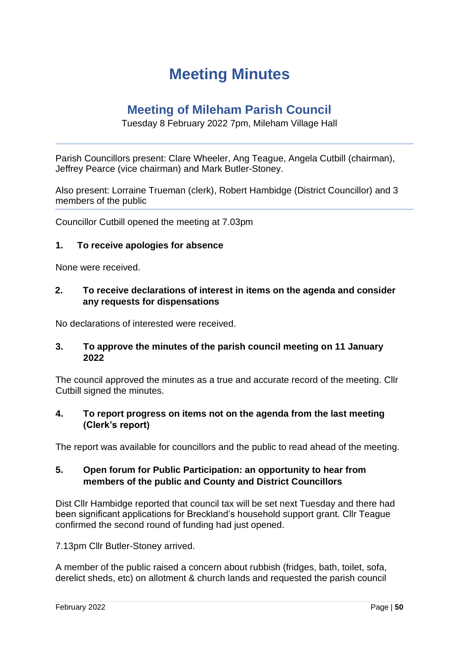# **Meeting Minutes**

## **Meeting of Mileham Parish Council**

## Tuesday 8 February 2022 7pm, Mileham Village Hall

Parish Councillors present: Clare Wheeler, Ang Teague, Angela Cutbill (chairman), Jeffrey Pearce (vice chairman) and Mark Butler-Stoney.

Also present: Lorraine Trueman (clerk), Robert Hambidge (District Councillor) and 3 members of the public

Councillor Cutbill opened the meeting at 7.03pm

#### **1. To receive apologies for absence**

None were received.

#### **2. To receive declarations of interest in items on the agenda and consider any requests for dispensations**

No declarations of interested were received.

#### **3. To approve the minutes of the parish council meeting on 11 January 2022**

The council approved the minutes as a true and accurate record of the meeting. Cllr Cutbill signed the minutes.

#### **4. To report progress on items not on the agenda from the last meeting (Clerk's report)**

The report was available for councillors and the public to read ahead of the meeting.

## **5. Open forum for Public Participation: an opportunity to hear from members of the public and County and District Councillors**

Dist Cllr Hambidge reported that council tax will be set next Tuesday and there had been significant applications for Breckland's household support grant. Cllr Teague confirmed the second round of funding had just opened.

7.13pm Cllr Butler-Stoney arrived.

A member of the public raised a concern about rubbish (fridges, bath, toilet, sofa, derelict sheds, etc) on allotment & church lands and requested the parish council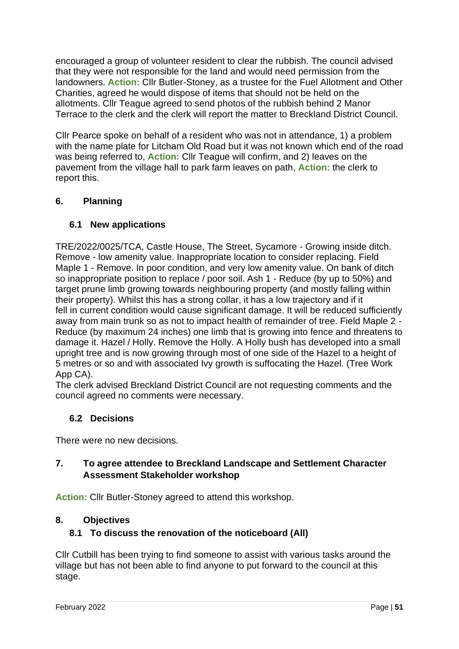encouraged a group of volunteer resident to clear the rubbish. The council advised that they were not responsible for the land and would need permission from the landowners. **Action:** Cllr Butler-Stoney, as a trustee for the Fuel Allotment and Other Charities, agreed he would dispose of items that should not be held on the allotments. Cllr Teague agreed to send photos of the rubbish behind 2 Manor Terrace to the clerk and the clerk will report the matter to Breckland District Council.

Cllr Pearce spoke on behalf of a resident who was not in attendance, 1) a problem with the name plate for Litcham Old Road but it was not known which end of the road was being referred to, **Action:** Cllr Teague will confirm, and 2) leaves on the pavement from the village hall to park farm leaves on path, **Action:** the clerk to report this.

## **6. Planning**

## **6.1 New applications**

TRE/2022/0025/TCA, Castle House, The Street, Sycamore - Growing inside ditch. Remove - low amenity value. Inappropriate location to consider replacing. Field Maple 1 - Remove. In poor condition, and very low amenity value. On bank of ditch so inappropriate position to replace / poor soil. Ash 1 - Reduce (by up to 50%) and target prune limb growing towards neighbouring property (and mostly falling within their property). Whilst this has a strong collar, it has a low trajectory and if it fell in current condition would cause significant damage. It will be reduced sufficiently away from main trunk so as not to impact health of remainder of tree. Field Maple 2 - Reduce (by maximum 24 inches) one limb that is growing into fence and threatens to damage it. Hazel / Holly. Remove the Holly. A Holly bush has developed into a small upright tree and is now growing through most of one side of the Hazel to a height of 5 metres or so and with associated Ivy growth is suffocating the Hazel. (Tree Work App CA).

The clerk advised Breckland District Council are not requesting comments and the council agreed no comments were necessary.

## **6.2 Decisions**

There were no new decisions.

## **7. To agree attendee to Breckland Landscape and Settlement Character Assessment Stakeholder workshop**

**Action:** Cllr Butler-Stoney agreed to attend this workshop.

## **8. Objectives**

## **8.1 To discuss the renovation of the noticeboard (All)**

Cllr Cutbill has been trying to find someone to assist with various tasks around the village but has not been able to find anyone to put forward to the council at this stage.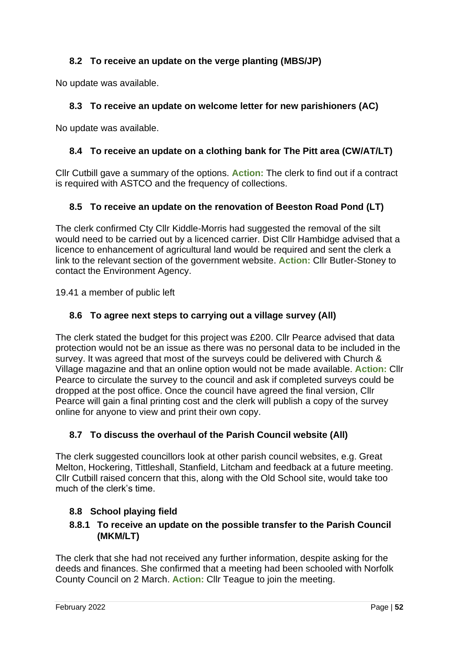## **8.2 To receive an update on the verge planting (MBS/JP)**

No update was available.

## **8.3 To receive an update on welcome letter for new parishioners (AC)**

No update was available.

## **8.4 To receive an update on a clothing bank for The Pitt area (CW/AT/LT)**

Cllr Cutbill gave a summary of the options. **Action:** The clerk to find out if a contract is required with ASTCO and the frequency of collections.

## **8.5 To receive an update on the renovation of Beeston Road Pond (LT)**

The clerk confirmed Cty Cllr Kiddle-Morris had suggested the removal of the silt would need to be carried out by a licenced carrier. Dist Cllr Hambidge advised that a licence to enhancement of agricultural land would be required and sent the clerk a link to the relevant section of the government website. **Action:** Cllr Butler-Stoney to contact the Environment Agency.

19.41 a member of public left

## **8.6 To agree next steps to carrying out a village survey (All)**

The clerk stated the budget for this project was £200. Cllr Pearce advised that data protection would not be an issue as there was no personal data to be included in the survey. It was agreed that most of the surveys could be delivered with Church & Village magazine and that an online option would not be made available. **Action:** Cllr Pearce to circulate the survey to the council and ask if completed surveys could be dropped at the post office. Once the council have agreed the final version, Cllr Pearce will gain a final printing cost and the clerk will publish a copy of the survey online for anyone to view and print their own copy.

## **8.7 To discuss the overhaul of the Parish Council website (All)**

The clerk suggested councillors look at other parish council websites, e.g. Great Melton, Hockering, Tittleshall, Stanfield, Litcham and feedback at a future meeting. Cllr Cutbill raised concern that this, along with the Old School site, would take too much of the clerk's time.

## **8.8 School playing field**

## **8.8.1 To receive an update on the possible transfer to the Parish Council (MKM/LT)**

The clerk that she had not received any further information, despite asking for the deeds and finances. She confirmed that a meeting had been schooled with Norfolk County Council on 2 March. **Action:** Cllr Teague to join the meeting.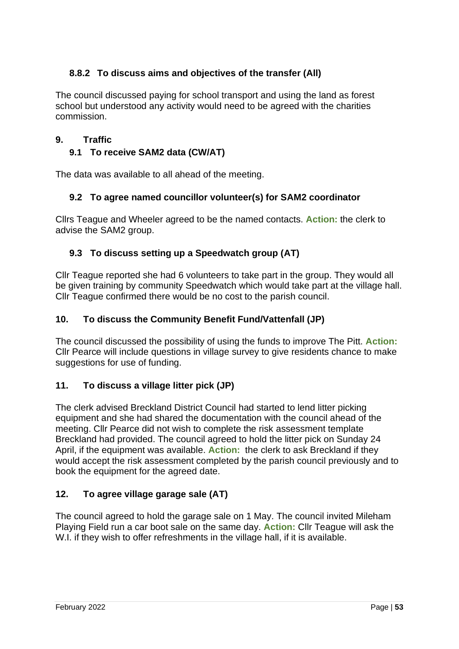## **8.8.2 To discuss aims and objectives of the transfer (All)**

The council discussed paying for school transport and using the land as forest school but understood any activity would need to be agreed with the charities commission.

## **9. Traffic**

## **9.1 To receive SAM2 data (CW/AT)**

The data was available to all ahead of the meeting.

## **9.2 To agree named councillor volunteer(s) for SAM2 coordinator**

Cllrs Teague and Wheeler agreed to be the named contacts. **Action:** the clerk to advise the SAM2 group.

## **9.3 To discuss setting up a Speedwatch group (AT)**

Cllr Teague reported she had 6 volunteers to take part in the group. They would all be given training by community Speedwatch which would take part at the village hall. Cllr Teague confirmed there would be no cost to the parish council.

## **10. To discuss the Community Benefit Fund/Vattenfall (JP)**

The council discussed the possibility of using the funds to improve The Pitt. **Action:** Cllr Pearce will include questions in village survey to give residents chance to make suggestions for use of funding.

## **11. To discuss a village litter pick (JP)**

The clerk advised Breckland District Council had started to lend litter picking equipment and she had shared the documentation with the council ahead of the meeting. Cllr Pearce did not wish to complete the risk assessment template Breckland had provided. The council agreed to hold the litter pick on Sunday 24 April, if the equipment was available. **Action:** the clerk to ask Breckland if they would accept the risk assessment completed by the parish council previously and to book the equipment for the agreed date.

## **12. To agree village garage sale (AT)**

The council agreed to hold the garage sale on 1 May. The council invited Mileham Playing Field run a car boot sale on the same day. **Action:** Cllr Teague will ask the W.I. if they wish to offer refreshments in the village hall, if it is available.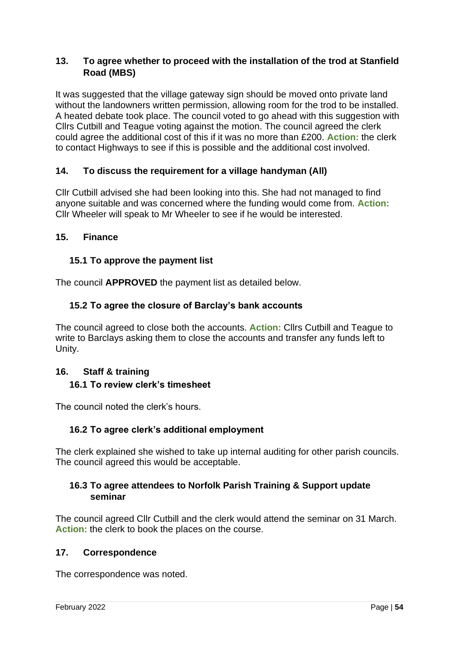## **13. To agree whether to proceed with the installation of the trod at Stanfield Road (MBS)**

It was suggested that the village gateway sign should be moved onto private land without the landowners written permission, allowing room for the trod to be installed. A heated debate took place. The council voted to go ahead with this suggestion with Cllrs Cutbill and Teague voting against the motion. The council agreed the clerk could agree the additional cost of this if it was no more than £200. **Action:** the clerk to contact Highways to see if this is possible and the additional cost involved.

## **14. To discuss the requirement for a village handyman (All)**

Cllr Cutbill advised she had been looking into this. She had not managed to find anyone suitable and was concerned where the funding would come from. **Action:** Cllr Wheeler will speak to Mr Wheeler to see if he would be interested.

#### **15. Finance**

#### **15.1 To approve the payment list**

The council **APPROVED** the payment list as detailed below.

#### **15.2 To agree the closure of Barclay's bank accounts**

The council agreed to close both the accounts. **Action:** Cllrs Cutbill and Teague to write to Barclays asking them to close the accounts and transfer any funds left to Unity.

#### **16. Staff & training 16.1 To review clerk's timesheet**

The council noted the clerk's hours.

#### **16.2 To agree clerk's additional employment**

The clerk explained she wished to take up internal auditing for other parish councils. The council agreed this would be acceptable.

#### **16.3 To agree attendees to Norfolk Parish Training & Support update seminar**

The council agreed Cllr Cutbill and the clerk would attend the seminar on 31 March. **Action:** the clerk to book the places on the course.

#### **17. Correspondence**

The correspondence was noted.